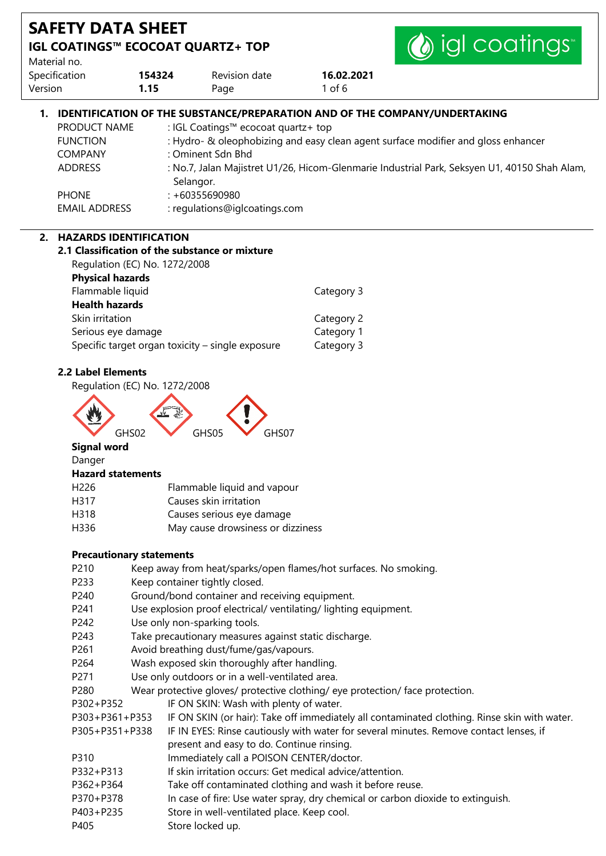| <b>SAFETY DATA SHEET</b>         |                                                  |                                                                                                      |                                                                                              |  |  |
|----------------------------------|--------------------------------------------------|------------------------------------------------------------------------------------------------------|----------------------------------------------------------------------------------------------|--|--|
|                                  | <b>IGL COATINGS™ ECOCOAT QUARTZ+ TOP</b>         |                                                                                                      | (b) igl coatings                                                                             |  |  |
| Material no.                     |                                                  |                                                                                                      |                                                                                              |  |  |
| Specification<br>Version         | Revision date<br>154324<br>1.15<br>Page          | 16.02.2021<br>$1$ of 6                                                                               |                                                                                              |  |  |
|                                  |                                                  |                                                                                                      |                                                                                              |  |  |
| 1.                               |                                                  |                                                                                                      | <b>IDENTIFICATION OF THE SUBSTANCE/PREPARATION AND OF THE COMPANY/UNDERTAKING</b>            |  |  |
| PRODUCT NAME                     |                                                  | : IGL Coatings™ ecocoat quartz+ top                                                                  |                                                                                              |  |  |
| <b>FUNCTION</b>                  | : Ominent Sdn Bhd                                |                                                                                                      | : Hydro- & oleophobizing and easy clean agent surface modifier and gloss enhancer            |  |  |
| <b>COMPANY</b><br><b>ADDRESS</b> |                                                  |                                                                                                      | : No.7, Jalan Majistret U1/26, Hicom-Glenmarie Industrial Park, Seksyen U1, 40150 Shah Alam, |  |  |
|                                  | Selangor.                                        |                                                                                                      |                                                                                              |  |  |
| <b>PHONE</b>                     | $: +60355690980$                                 |                                                                                                      |                                                                                              |  |  |
| <b>EMAIL ADDRESS</b>             | : regulations@iglcoatings.com                    |                                                                                                      |                                                                                              |  |  |
|                                  |                                                  |                                                                                                      |                                                                                              |  |  |
| 2. HAZARDS IDENTIFICATION        |                                                  |                                                                                                      |                                                                                              |  |  |
|                                  | 2.1 Classification of the substance or mixture   |                                                                                                      |                                                                                              |  |  |
| <b>Physical hazards</b>          | Regulation (EC) No. 1272/2008                    |                                                                                                      |                                                                                              |  |  |
| Flammable liquid                 |                                                  | Category 3                                                                                           |                                                                                              |  |  |
| <b>Health hazards</b>            |                                                  |                                                                                                      |                                                                                              |  |  |
| Skin irritation                  |                                                  | Category 2                                                                                           |                                                                                              |  |  |
| Serious eye damage               |                                                  | Category 1                                                                                           |                                                                                              |  |  |
|                                  | Specific target organ toxicity - single exposure | Category 3                                                                                           |                                                                                              |  |  |
|                                  |                                                  |                                                                                                      |                                                                                              |  |  |
| <b>2.2 Label Elements</b>        | Regulation (EC) No. 1272/2008                    |                                                                                                      |                                                                                              |  |  |
|                                  |                                                  |                                                                                                      |                                                                                              |  |  |
|                                  |                                                  |                                                                                                      |                                                                                              |  |  |
|                                  | GHS02<br>GHS05                                   | GHS07                                                                                                |                                                                                              |  |  |
| <b>Signal word</b>               |                                                  |                                                                                                      |                                                                                              |  |  |
| Danger                           |                                                  |                                                                                                      |                                                                                              |  |  |
| <b>Hazard statements</b>         |                                                  |                                                                                                      |                                                                                              |  |  |
| H226                             | Flammable liquid and vapour                      |                                                                                                      |                                                                                              |  |  |
| H317                             | Causes skin irritation                           |                                                                                                      |                                                                                              |  |  |
| H318                             | Causes serious eye damage                        |                                                                                                      |                                                                                              |  |  |
| H336                             | May cause drowsiness or dizziness                |                                                                                                      |                                                                                              |  |  |
|                                  | <b>Precautionary statements</b>                  |                                                                                                      |                                                                                              |  |  |
| P210                             |                                                  | Keep away from heat/sparks/open flames/hot surfaces. No smoking.                                     |                                                                                              |  |  |
| P233                             | Keep container tightly closed.                   |                                                                                                      |                                                                                              |  |  |
| P240                             | Ground/bond container and receiving equipment.   |                                                                                                      |                                                                                              |  |  |
| P241                             |                                                  | Use explosion proof electrical/ventilating/lighting equipment.                                       |                                                                                              |  |  |
| P242                             | Use only non-sparking tools.                     |                                                                                                      |                                                                                              |  |  |
| P243<br>P261                     | Avoid breathing dust/fume/gas/vapours.           | Take precautionary measures against static discharge.                                                |                                                                                              |  |  |
| P264                             | Wash exposed skin thoroughly after handling.     |                                                                                                      |                                                                                              |  |  |
| P271                             | Use only outdoors or in a well-ventilated area.  |                                                                                                      |                                                                                              |  |  |
| P280                             |                                                  | Wear protective gloves/ protective clothing/ eye protection/ face protection.                        |                                                                                              |  |  |
| P302+P352                        |                                                  | IF ON SKIN: Wash with plenty of water.                                                               |                                                                                              |  |  |
| P303+P361+P353                   |                                                  |                                                                                                      | IF ON SKIN (or hair): Take off immediately all contaminated clothing. Rinse skin with water. |  |  |
| P305+P351+P338                   |                                                  |                                                                                                      | IF IN EYES: Rinse cautiously with water for several minutes. Remove contact lenses, if       |  |  |
|                                  |                                                  | present and easy to do. Continue rinsing.                                                            |                                                                                              |  |  |
| P310<br>P332+P313                |                                                  | Immediately call a POISON CENTER/doctor.<br>If skin irritation occurs: Get medical advice/attention. |                                                                                              |  |  |
| P362+P364                        |                                                  | Take off contaminated clothing and wash it before reuse.                                             |                                                                                              |  |  |
| P370+P378                        |                                                  |                                                                                                      | In case of fire: Use water spray, dry chemical or carbon dioxide to extinguish.              |  |  |
| P403+P235                        |                                                  | Store in well-ventilated place. Keep cool.                                                           |                                                                                              |  |  |
| P405                             | Store locked up.                                 |                                                                                                      |                                                                                              |  |  |
|                                  |                                                  |                                                                                                      |                                                                                              |  |  |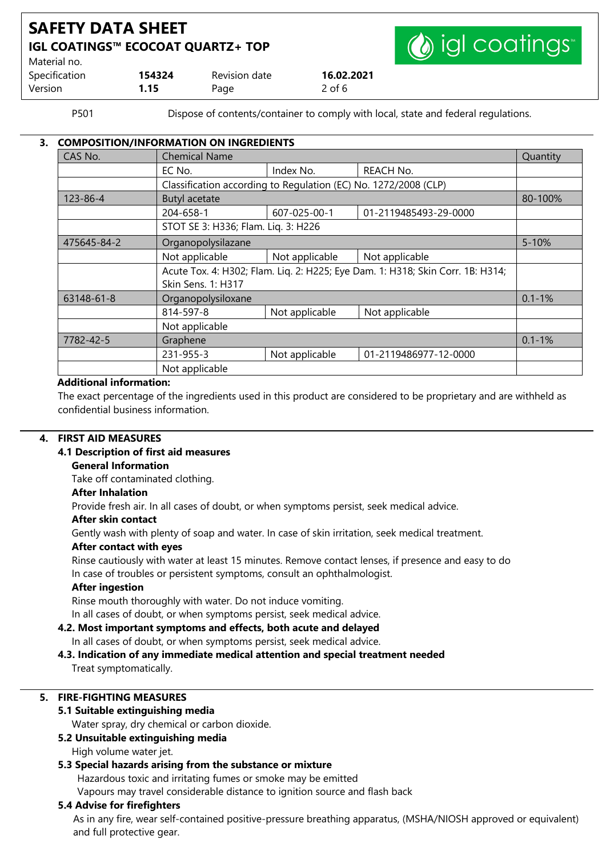# **SAFETY DATA SHEET IGL COATINGS™ ECOCOAT QUARTZ+ TOP** Material no.



| .             |        |               |            |
|---------------|--------|---------------|------------|
| Specification | 154324 | Revision date | 16.02.2021 |
| Version       | 1.15   | Page          | 2 of 6     |

P501 Dispose of contents/container to comply with local, state and federal regulations.

|             | <b>COMPOSITION/INFORMATION ON INGREDIENTS</b> |                                                                 |                                                                                |            |  |
|-------------|-----------------------------------------------|-----------------------------------------------------------------|--------------------------------------------------------------------------------|------------|--|
| CAS No.     | <b>Chemical Name</b>                          |                                                                 |                                                                                |            |  |
|             | EC No.                                        | Index No.                                                       | <b>REACH No.</b>                                                               |            |  |
|             |                                               | Classification according to Regulation (EC) No. 1272/2008 (CLP) |                                                                                |            |  |
| 123-86-4    | <b>Butyl acetate</b>                          |                                                                 |                                                                                | 80-100%    |  |
|             | 204-658-1                                     | 607-025-00-1                                                    | 01-2119485493-29-0000                                                          |            |  |
|             | STOT SE 3: H336; Flam. Liq. 3: H226           |                                                                 |                                                                                |            |  |
| 475645-84-2 | Organopolysilazane                            |                                                                 |                                                                                | $5 - 10%$  |  |
|             | Not applicable                                | Not applicable                                                  | Not applicable                                                                 |            |  |
|             | Skin Sens. 1: H317                            |                                                                 | Acute Tox. 4: H302; Flam. Lig. 2: H225; Eye Dam. 1: H318; Skin Corr. 1B: H314; |            |  |
| 63148-61-8  | Organopolysiloxane                            |                                                                 |                                                                                | $0.1 - 1%$ |  |
|             | 814-597-8                                     | Not applicable                                                  | Not applicable                                                                 |            |  |
|             | Not applicable                                |                                                                 |                                                                                |            |  |
| 7782-42-5   | Graphene                                      |                                                                 |                                                                                | $0.1 - 1%$ |  |
|             | 231-955-3                                     | Not applicable                                                  | 01-2119486977-12-0000                                                          |            |  |
|             | Not applicable                                |                                                                 |                                                                                |            |  |

#### **Additional information:**

The exact percentage of the ingredients used in this product are considered to be proprietary and are withheld as confidential business information.

#### **4. FIRST AID MEASURES**

#### **4.1 Description of first aid measures**

#### **General Information**

Take off contaminated clothing.

#### **After Inhalation**

Provide fresh air. In all cases of doubt, or when symptoms persist, seek medical advice.

# **After skin contact**

Gently wash with plenty of soap and water. In case of skin irritation, seek medical treatment.

#### **After contact with eyes**

Rinse cautiously with water at least 15 minutes. Remove contact lenses, if presence and easy to do In case of troubles or persistent symptoms, consult an ophthalmologist.

#### **After ingestion**

Rinse mouth thoroughly with water. Do not induce vomiting.

In all cases of doubt, or when symptoms persist, seek medical advice.

# **4.2. Most important symptoms and effects, both acute and delayed**

In all cases of doubt, or when symptoms persist, seek medical advice.

# **4.3. Indication of any immediate medical attention and special treatment needed**

Treat symptomatically.

# **5. FIRE-FIGHTING MEASURES**

#### **5.1 Suitable extinguishing media**

Water spray, dry chemical or carbon dioxide.

#### **5.2 Unsuitable extinguishing media**

High volume water jet.

#### **5.3 Special hazards arising from the substance or mixture**

Hazardous toxic and irritating fumes or smoke may be emitted

Vapours may travel considerable distance to ignition source and flash back

## **5.4 Advise for firefighters**

As in any fire, wear self-contained positive-pressure breathing apparatus, (MSHA/NIOSH approved or equivalent) and full protective gear.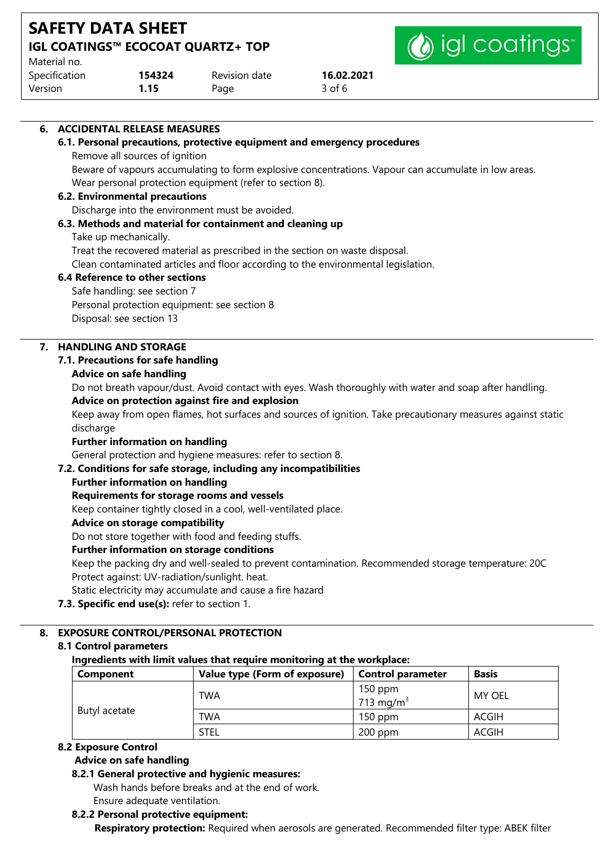# **SAFETY DATA SHEET IGL COATINGS™ ECOCOAT QUARTZ+ TOP**



Material no. Specification **154324** Revision date **16.02.2021**

| Version | 1.15                                                                     | Page                                                                                                         | $3$ of $6$ |                          |              |  |
|---------|--------------------------------------------------------------------------|--------------------------------------------------------------------------------------------------------------|------------|--------------------------|--------------|--|
|         |                                                                          |                                                                                                              |            |                          |              |  |
|         | 6. ACCIDENTAL RELEASE MEASURES                                           |                                                                                                              |            |                          |              |  |
|         | 6.1. Personal precautions, protective equipment and emergency procedures |                                                                                                              |            |                          |              |  |
|         | Remove all sources of ignition                                           |                                                                                                              |            |                          |              |  |
|         |                                                                          | Beware of vapours accumulating to form explosive concentrations. Vapour can accumulate in low areas.         |            |                          |              |  |
|         |                                                                          | Wear personal protection equipment (refer to section 8).                                                     |            |                          |              |  |
|         | <b>6.2. Environmental precautions</b>                                    |                                                                                                              |            |                          |              |  |
|         |                                                                          | Discharge into the environment must be avoided.                                                              |            |                          |              |  |
|         | 6.3. Methods and material for containment and cleaning up                |                                                                                                              |            |                          |              |  |
|         | Take up mechanically.                                                    |                                                                                                              |            |                          |              |  |
|         |                                                                          | Treat the recovered material as prescribed in the section on waste disposal.                                 |            |                          |              |  |
|         |                                                                          | Clean contaminated articles and floor according to the environmental legislation.                            |            |                          |              |  |
|         | 6.4 Reference to other sections                                          |                                                                                                              |            |                          |              |  |
|         | Safe handling: see section 7                                             |                                                                                                              |            |                          |              |  |
|         | Personal protection equipment: see section 8                             |                                                                                                              |            |                          |              |  |
|         | Disposal: see section 13                                                 |                                                                                                              |            |                          |              |  |
|         | 7. HANDLING AND STORAGE                                                  |                                                                                                              |            |                          |              |  |
|         | 7.1. Precautions for safe handling                                       |                                                                                                              |            |                          |              |  |
|         | <b>Advice on safe handling</b>                                           |                                                                                                              |            |                          |              |  |
|         |                                                                          | Do not breath vapour/dust. Avoid contact with eyes. Wash thoroughly with water and soap after handling.      |            |                          |              |  |
|         |                                                                          | Advice on protection against fire and explosion                                                              |            |                          |              |  |
|         |                                                                          | Keep away from open flames, hot surfaces and sources of ignition. Take precautionary measures against static |            |                          |              |  |
|         | discharge                                                                |                                                                                                              |            |                          |              |  |
|         | <b>Further information on handling</b>                                   |                                                                                                              |            |                          |              |  |
|         |                                                                          | General protection and hygiene measures: refer to section 8.                                                 |            |                          |              |  |
|         | 7.2. Conditions for safe storage, including any incompatibilities        |                                                                                                              |            |                          |              |  |
|         | <b>Further information on handling</b>                                   |                                                                                                              |            |                          |              |  |
|         | Requirements for storage rooms and vessels                               |                                                                                                              |            |                          |              |  |
|         |                                                                          | Keep container tightly closed in a cool, well-ventilated place.                                              |            |                          |              |  |
|         | Advice on storage compatibility                                          |                                                                                                              |            |                          |              |  |
|         |                                                                          | Do not store together with food and feeding stuffs.                                                          |            |                          |              |  |
|         | <b>Further information on storage conditions</b>                         |                                                                                                              |            |                          |              |  |
|         |                                                                          | Keep the packing dry and well-sealed to prevent contamination. Recommended storage temperature: 20C          |            |                          |              |  |
|         | Protect against: UV-radiation/sunlight. heat.                            |                                                                                                              |            |                          |              |  |
|         |                                                                          |                                                                                                              |            |                          |              |  |
|         |                                                                          | Static electricity may accumulate and cause a fire hazard                                                    |            |                          |              |  |
|         | 7.3. Specific end use(s): refer to section 1.                            |                                                                                                              |            |                          |              |  |
| 8.      | <b>EXPOSURE CONTROL/PERSONAL PROTECTION</b>                              |                                                                                                              |            |                          |              |  |
|         | 8.1 Control parameters                                                   |                                                                                                              |            |                          |              |  |
|         |                                                                          | Ingredients with limit values that require monitoring at the workplace:                                      |            |                          |              |  |
|         | Component                                                                | Value type (Form of exposure)                                                                                |            | <b>Control parameter</b> | <b>Basis</b> |  |
|         |                                                                          |                                                                                                              |            | 150 ppm                  |              |  |
|         |                                                                          | <b>TWA</b>                                                                                                   |            | 713 mg/m <sup>3</sup>    | MY OEL       |  |
|         |                                                                          |                                                                                                              |            |                          |              |  |

# TWA 150 ppm ACGIH STEL 200 ppm ACGIH

# **8.2 Exposure Control**

Butyl acetate

# **Advice on safe handling**

# **8.2.1 General protective and hygienic measures:**

Wash hands before breaks and at the end of work. Ensure adequate ventilation.

# **8.2.2 Personal protective equipment:**

**Respiratory protection:** Required when aerosols are generated. Recommended filter type: ABEK filter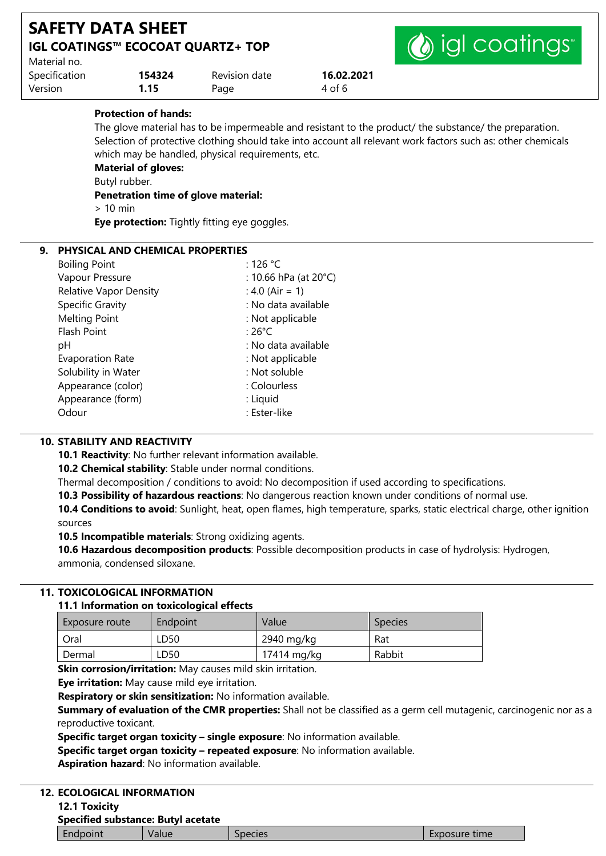| Material no.  | <b>SAFETY DATA SHEET</b><br><b>IGL COATINGS™ ECOCOAT QUARTZ+ TOP</b> | (a) igl coatings |            |                                                                                                                             |
|---------------|----------------------------------------------------------------------|------------------|------------|-----------------------------------------------------------------------------------------------------------------------------|
| Specification | 154324                                                               | Revision date    | 16.02.2021 |                                                                                                                             |
| Version       | 1.15                                                                 | Page             | 4 of 6     |                                                                                                                             |
|               | <b>Protection of hands:</b>                                          |                  |            | الممتعده ويمسمون وعافى ومستحيصات وعافى فليروز ومستحيط ومطفو والمستحيل والمستحدث ومستحد والمستحدث والمتسحق ويتمارس والمستحدث |

The glove material has to be impermeable and resistant to the product/ the substance/ the preparation. Selection of protective clothing should take into account all relevant work factors such as: other chemicals which may be handled, physical requirements, etc.

#### **Material of gloves:**

Butyl rubber.

### **Penetration time of glove material:**

> 10 min

**Eye protection:** Tightly fitting eye goggles.

### **9. PHYSICAL AND CHEMICAL PROPERTIES**

| <b>Boiling Point</b>          | :126 °C               |
|-------------------------------|-----------------------|
| Vapour Pressure               | : 10.66 hPa (at 20°C) |
| <b>Relative Vapor Density</b> | : 4.0 (Air = 1)       |
| Specific Gravity              | : No data available   |
| <b>Melting Point</b>          | : Not applicable      |
| <b>Flash Point</b>            | $:26^{\circ}$ C       |
| рH                            | : No data available   |
| <b>Evaporation Rate</b>       | : Not applicable      |
| Solubility in Water           | : Not soluble         |
| Appearance (color)            | : Colourless          |
| Appearance (form)             | : Liquid              |
| Odour                         | : Ester-like          |
|                               |                       |

# **10. STABILITY AND REACTIVITY**

**10.1 Reactivity**: No further relevant information available.

**10.2 Chemical stability**: Stable under normal conditions.

Thermal decomposition / conditions to avoid: No decomposition if used according to specifications.

**10.3 Possibility of hazardous reactions**: No dangerous reaction known under conditions of normal use.

**10.4 Conditions to avoid**: Sunlight, heat, open flames, high temperature, sparks, static electrical charge, other ignition sources

**10.5 Incompatible materials**: Strong oxidizing agents.

**10.6 Hazardous decomposition products**: Possible decomposition products in case of hydrolysis: Hydrogen, ammonia, condensed siloxane.

### **11. TOXICOLOGICAL INFORMATION**

| Exposure route | Endpoint | Value       | <b>Species</b> |
|----------------|----------|-------------|----------------|
| Oral           | LD50     | 2940 mg/kg  | Rat            |
| Dermal         | LD50     | 17414 mg/kg | Rabbit         |

**Skin corrosion/irritation:** May causes mild skin irritation.

**Eye irritation:** May cause mild eye irritation.

**Respiratory or skin sensitization:** No information available.

**Summary of evaluation of the CMR properties:** Shall not be classified as a germ cell mutagenic, carcinogenic nor as a reproductive toxicant.

**Specific target organ toxicity – single exposure**: No information available.

**Specific target organ toxicity – repeated exposure**: No information available.

**Aspiration hazard**: No information available.

### **12. ECOLOGICAL INFORMATION**

**12.1 Toxicity** 

**Specified substance: Butyl acetate**

Endpoint Value Species Exposure time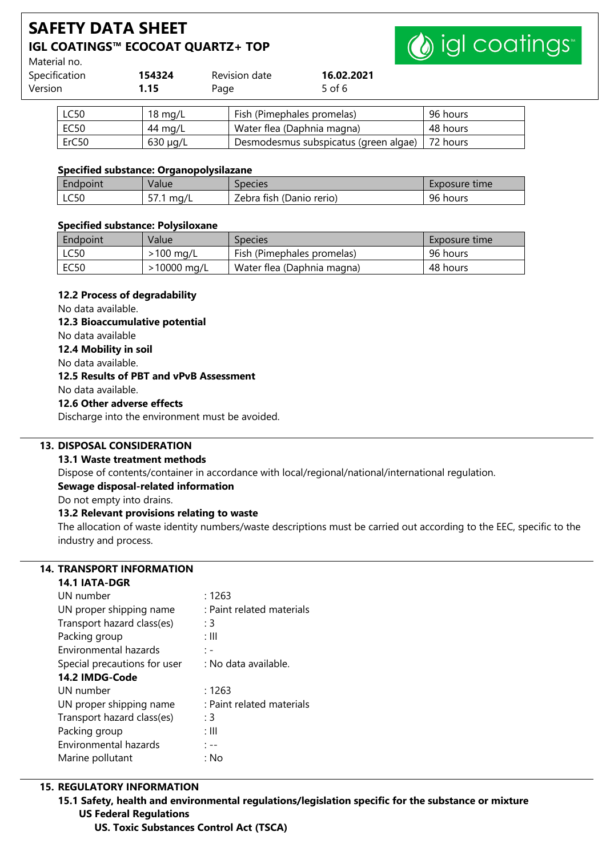# **SAFETY DATA SHEET IGL COATINGS™ ECOCOAT QUARTZ+ TOP**



Material no.

| Specification | 154324 | Revision date | 16.02.2021 |
|---------------|--------|---------------|------------|
| Version       | 1.15   | Page          | 5 of 6     |

| LC50              | $18 \text{ mg/L}$ | Fish (Pimephales promelas)                       | 96 hours |
|-------------------|-------------------|--------------------------------------------------|----------|
| EC50              | 44 mg/L           | Water flea (Daphnia magna)                       | 48 hours |
| ErC <sub>50</sub> | $630 \mu g/L$     | Desmodesmus subspicatus (green algae)   72 hours |          |

#### **Specified substance: Organopolysilazane**

| Endpoint | Value                      | Species                  | Exposure time |
|----------|----------------------------|--------------------------|---------------|
| LC50     | <b>F74</b><br>ma/L<br>57.T | Zebra fish (Danio rerio) | 96 hours      |

#### **Specified substance: Polysiloxane**

| Endpoint    | Value                   | <b>Species</b>             | Exposure time |
|-------------|-------------------------|----------------------------|---------------|
| <b>LC50</b> | >100 mg/L               | Fish (Pimephales promelas) | 96 hours      |
| <b>EC50</b> | $10000 \,\mathrm{mq/L}$ | Water flea (Daphnia magna) | 48 hours      |

#### **12.2 Process of degradability**

No data available.

**12.3 Bioaccumulative potential**

#### No data available

**12.4 Mobility in soil**

No data available.

## **12.5 Results of PBT and vPvB Assessment**

No data available.

#### **12.6 Other adverse effects**

Discharge into the environment must be avoided.

## **13. DISPOSAL CONSIDERATION**

#### **13.1 Waste treatment methods**

Dispose of contents/container in accordance with local/regional/national/international regulation.

#### **Sewage disposal-related information**

Do not empty into drains.

#### **13.2 Relevant provisions relating to waste**

The allocation of waste identity numbers/waste descriptions must be carried out according to the EEC, specific to the industry and process.

## **14. TRANSPORT INFORMATION**

| 14.1 IATA-DGR                |                           |
|------------------------------|---------------------------|
| UN number                    | : 1263                    |
| UN proper shipping name      | : Paint related materials |
| Transport hazard class(es)   | :3                        |
| Packing group                | : III                     |
| <b>Environmental hazards</b> | $\mathbf{1}$ –            |
| Special precautions for user | : No data available.      |
| 14.2 IMDG-Code               |                           |
|                              |                           |
| UN number                    | : 1263                    |
| UN proper shipping name      | : Paint related materials |
| Transport hazard class(es)   | : 3                       |
| Packing group                | : III                     |
| <b>Environmental hazards</b> | : --                      |
| Marine pollutant             | : No                      |

## **15. REGULATORY INFORMATION**

**15.1 Safety, health and environmental regulations/legislation specific for the substance or mixture US Federal Regulations**

**US. Toxic Substances Control Act (TSCA)**